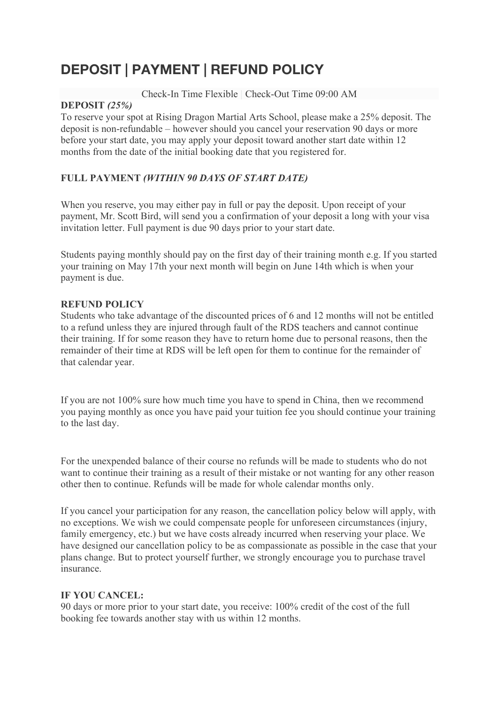# **DEPOSIT | PAYMENT | REFUND POLICY**

Check-In Time Flexible | Check-Out Time 09:00 AM

#### **DEPOSIT** *(25%)*

To reserve your spot at Rising Dragon Martial Arts School, please make a 25% deposit. The deposit is non-refundable – however should you cancel your reservation 90 days or more before your start date, you may apply your deposit toward another start date within 12 months from the date of the initial booking date that you registered for.

## **FULL PAYMENT** *(WITHIN 90 DAYS OF START DATE)*

When you reserve, you may either pay in full or pay the deposit. Upon receipt of your payment, Mr. Scott Bird, will send you a confirmation of your deposit a long with your visa invitation letter. Full payment is due 90 days prior to your start date.

Students paying monthly should pay on the first day of their training month e.g. If you started your training on May 17th your next month will begin on June 14th which is when your payment is due.

## **REFUND POLICY**

Students who take advantage of the discounted prices of 6 and 12 months will not be entitled to a refund unless they are injured through fault of the RDS teachers and cannot continue their training. If for some reason they have to return home due to personal reasons, then the remainder of their time at RDS will be left open for them to continue for the remainder of that calendar year.

If you are not 100% sure how much time you have to spend in China, then we recommend you paying monthly as once you have paid your tuition fee you should continue your training to the last day.

For the unexpended balance of their course no refunds will be made to students who do not want to continue their training as a result of their mistake or not wanting for any other reason other then to continue. Refunds will be made for whole calendar months only.

If you cancel your participation for any reason, the cancellation policy below will apply, with no exceptions. We wish we could compensate people for unforeseen circumstances (injury, family emergency, etc.) but we have costs already incurred when reserving your place. We have designed our cancellation policy to be as compassionate as possible in the case that your plans change. But to protect yourself further, we strongly encourage you to purchase travel insurance.

## **IF YOU CANCEL:**

90 days or more prior to your start date, you receive: 100% credit of the cost of the full booking fee towards another stay with us within 12 months.